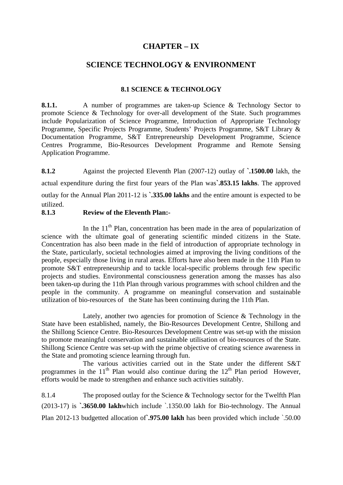# **CHAPTER – IX**

## **SCIENCE TECHNOLOGY & ENVIRONMENT**

### **8.1 SCIENCE & TECHNOLOGY**

**8.1.1.** A number of programmes are taken-up Science & Technology Sector to promote Science & Technology for over-all development of the State. Such programmes include Popularization of Science Programme, Introduction of Appropriate Technology Programme, Specific Projects Programme, Students' Projects Programme, S&T Library & Documentation Programme, S&T Entrepreneurship Development Programme, Science Centres Programme, Bio-Resources Development Programme and Remote Sensing Application Programme.

**8.1.2** Against the projected Eleventh Plan (2007-12) outlay of **`.1500.00** lakh, the actual expenditure during the first four years of the Plan was**`.853.15 lakhs**. The approved outlay for the Annual Plan 2011-12 is **`.335.00 lakhs** and the entire amount is expected to be utilized.

### **8.1.3 Review of the Eleventh Plan:-**

In the  $11<sup>th</sup>$  Plan, concentration has been made in the area of popularization of science with the ultimate goal of generating scientific minded citizens in the State. Concentration has also been made in the field of introduction of appropriate technology in the State, particularly, societal technologies aimed at improving the living conditions of the people, especially those living in rural areas. Efforts have also been made in the 11th Plan to promote S&T entrepreneurship and to tackle local-specific problems through few specific projects and studies. Environmental consciousness generation among the masses has also been taken-up during the 11th Plan through various programmes with school children and the people in the community. A programme on meaningful conservation and sustainable utilization of bio-resources of the State has been continuing during the 11th Plan.

 Lately, another two agencies for promotion of Science & Technology in the State have been established, namely, the Bio-Resources Development Centre, Shillong and the Shillong Science Centre. Bio-Resources Development Centre was set-up with the mission to promote meaningful conservation and sustainable utilisation of bio-resources of the State. Shillong Science Centre was set-up with the prime objective of creating science awareness in the State and promoting science learning through fun.

 The various activities carried out in the State under the different S&T programmes in the  $11<sup>th</sup>$  Plan would also continue during the  $12<sup>th</sup>$  Plan period However, efforts would be made to strengthen and enhance such activities suitably.

8.1.4 The proposed outlay for the Science & Technology sector for the Twelfth Plan (2013-17) is **`.3650.00 lakh**which include `.1350.00 lakh for Bio-technology. The Annual Plan 2012-13 budgetted allocation of**`.975.00 lakh** has been provided which include `.50.00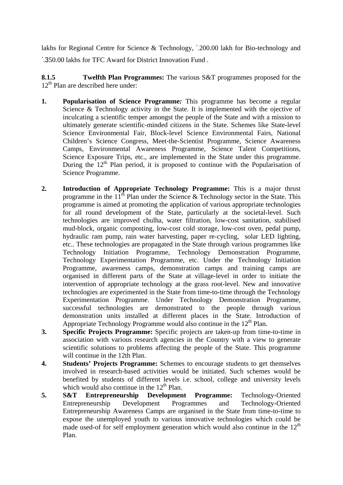lakhs for Regional Centre for Science & Technology, `.200.00 lakh for Bio-technology and `.350.00 lakhs for TFC Award for District Innovation Fund .

**8.1.5 Twelfth Plan Programmes:** The various S&T programmes proposed for the  $12<sup>th</sup>$  Plan are described here under:

- **1. Popularisation of Science Programme***:* This programme has become a regular Science & Technology activity in the State. It is implemented with the ojective of inculcating a scientific temper amongst the people of the State and with a mission to ultimately generate scientific-minded citizens in the State. Schemes like State-level Science Environmental Fair, Block-level Science Environmental Fairs, National Children's Science Congress, Meet-the-Scientist Programme, Science Awareness Camps, Environmental Awareness Programme, Science Talent Competitions, Science Exposure Trips, etc., are implemented in the State under this programme. During the  $12<sup>th</sup>$  Plan period, it is proposed to continue with the Popularisation of Science Programme.
- **2. Introduction of Appropriate Technology Programme:** This is a major thrust programme in the  $11<sup>th</sup>$  Plan under the Science & Technology sector in the State. This programme is aimed at promoting the application of various appropriate technologies for all round development of the State, particularly at the societal-level. Such technologies are improved chulha, water filtration, low-cost sanitation, stabilised mud-block, organic composting, low-cost cold storage, low-cost oven, pedal pump, hydraulic ram pump, rain water harvesting, paper re-cycling, solar LED lighting, etc.. These technologies are propagated in the State through various programmes like Technology Initiation Programme, Technology Demonstration Programme, Technology Experimentation Programme, etc. Under the Technology Initiation Programme, awareness camps, demonstration camps and training camps are organised in different parts of the State at village-level in order to initiate the intervention of appropriate technology at the grass root-level. New and innovative technologies are experimented in the State from time-to-time through the Technology Experimentation Programme. Under Technology Demonstration Programme, successful technologies are demonstrated to the people through various demonstration units installed at different places in the State. Introduction of Appropriate Technology Programme would also continue in the  $12<sup>th</sup>$  Plan.
- **3. Specific Projects Programme:** Specific projects are taken-up from time-to-time in association with various research agencies in the Country with a view to generate scientific solutions to problems affecting the people of the State. This programme will continue in the 12th Plan.
- **4. Students' Projects Programme:** Schemes to encourage students to get themselves involved in research-based activities would be initiated. Such schemes would be benefited by students of different levels i.e. school, college and university levels which would also continue in the  $12<sup>th</sup>$  Plan.
- **5. S&T Entrepreneurship Development Programme:** Technology-Oriented Entrepreneurship Development Programmes and Technology-Oriented Entrepreneurship Awareness Camps are organised in the State from time-to-time to expose the unemployed youth to various innovative technologies which could be made used-of for self employment generation which would also continue in the  $12<sup>th</sup>$ Plan.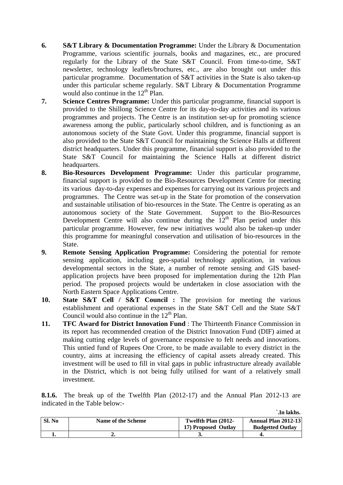- **6. S&T Library & Documentation Programme:** Under the Library & Documentation Programme, various scientific journals, books and magazines, etc., are procured regularly for the Library of the State S&T Council. From time-to-time, S&T newsletter, technology leaflets/brochures, etc., are also brought out under this particular programme. Documentation of S&T activities in the State is also taken-up under this particular scheme regularly. S&T Library & Documentation Programme would also continue in the  $12<sup>th</sup>$  Plan.
- **7. Science Centres Programme:** Under this particular programme, financial support is provided to the Shillong Science Centre for its day-to-day activities and its various programmes and projects. The Centre is an institution set-up for promoting science awareness among the public, particularly school children, and is functioning as an autonomous society of the State Govt. Under this programme, financial support is also provided to the State S&T Council for maintaining the Science Halls at different district headquarters. Under this programme, financial support is also provided to the State S&T Council for maintaining the Science Halls at different district headquarters.
- **8. Bio-Resources Development Programme:** Under this particular programme, financial support is provided to the Bio-Resources Development Centre for meeting its various day-to-day expenses and expenses for carrying out its various projects and programmes. The Centre was set-up in the State for promotion of the conservation and sustainable utilisation of bio-resources in the State. The Centre is operating as an autonomous society of the State Government. Support to the Bio-Resources Development Centre will also continue during the  $12<sup>th</sup>$  Plan period under this particular programme. However, few new initiatives would also be taken-up under this programme for meaningful conservation and utilisation of bio-resources in the State.
- **9. Remote Sensing Application Programme:** Considering the potential for remote sensing application, including geo-spatial technology application, in various developmental sectors in the State, a number of remote sensing and GIS basedapplication projects have been proposed for implementation during the 12th Plan period. The proposed projects would be undertaken in close association with the North Eastern Space Applications Centre.
- **10. State S&T Cell / S&T Council :** The provision for meeting the various establishment and operational expenses in the State S&T Cell and the State S&T Council would also continue in the  $12<sup>th</sup>$  Plan.
- **11. TFC Award for District Innovation Fund** : The Thirteenth Finance Commission in its report has recommended creation of the District Innovation Fund (DIF) aimed at making cutting edge levels of governance responsive to felt needs and innovations. This untied fund of Rupees One Crore, to be made available to every district in the country, aims at increasing the efficiency of capital assets already created. This investment will be used to fill in vital gaps in public infrastructure already available in the District, which is not being fully utilised for want of a relatively small investment.

**8.1.6.** The break up of the Twelfth Plan (2012-17) and the Annual Plan 2012-13 are indicated in the Table below:-

**`.In lakhs.**

|        |                    |                                            | .ш іалііз.                                            |
|--------|--------------------|--------------------------------------------|-------------------------------------------------------|
| Sl. No | Name of the Scheme | Twelfth Plan (2012-<br>17) Proposed Outlay | <b>Annual Plan 2012-13</b><br><b>Budgetted Outlay</b> |
|        | ,,,                | J.                                         |                                                       |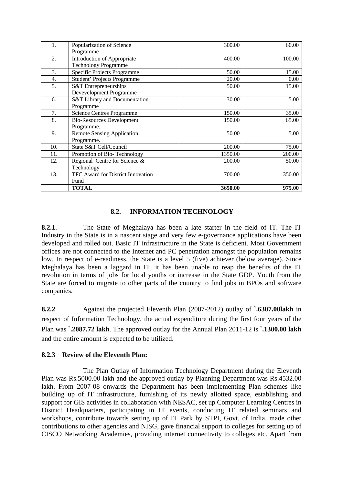| 1.  | Popularization of Science         | 300.00  | 60.00  |
|-----|-----------------------------------|---------|--------|
|     | Programme                         |         |        |
| 2.  | Introduction of Appropriate       | 400.00  | 100.00 |
|     | <b>Technology Programme</b>       |         |        |
| 3.  | Specific Projects Programme       | 50.00   | 15.00  |
| 4.  | Student' Projects Programme       | 0.00    |        |
| 5.  | S&T Entrepreneurships             | 50.00   | 15.00  |
|     | Devevelopment Programme           |         |        |
| 6.  | S&T Library and Documentation     | 30.00   | 5.00   |
|     | Programme                         |         |        |
| 7.  | <b>Science Centres Programme</b>  | 150.00  | 35.00  |
| 8.  | <b>Bio-Resources Development</b>  | 150.00  | 65.00  |
|     | Programme.                        |         |        |
| 9.  | <b>Remote Sensing Application</b> | 50.00   | 5.00   |
|     | Programme.                        |         |        |
| 10. | State S&T Cell/Council            | 200.00  | 75.00  |
| 11. | Promotion of Bio-Technology       | 1350.00 | 200.00 |
| 12. | Regional Centre for Science &     | 200.00  | 50.00  |
|     | Technology                        |         |        |
| 13. | TFC Award for District Innovation | 700.00  | 350.00 |
|     | Fund                              |         |        |
|     | <b>TOTAL</b>                      | 3650.00 | 975.00 |

## **8.2. INFORMATION TECHNOLOGY**

**8.2.1**. The State of Meghalaya has been a late starter in the field of IT. The IT Industry in the State is in a nascent stage and very few e-governance applications have been developed and rolled out. Basic IT infrastructure in the State is deficient. Most Government offices are not connected to the Internet and PC penetration amongst the population remains low. In respect of e-readiness, the State is a level 5 (five) achiever (below average). Since Meghalaya has been a laggard in IT, it has been unable to reap the benefits of the IT revolution in terms of jobs for local youths or increase in the State GDP. Youth from the State are forced to migrate to other parts of the country to find jobs in BPOs and software companies.

**8.2.2** Against the projected Eleventh Plan (2007-2012) outlay of **`.6307.00lakh** in respect of Information Technology, the actual expenditure during the first four years of the Plan was **`.2087.72 lakh**. The approved outlay for the Annual Plan 2011-12 is **`.1300.00 lakh** and the entire amount is expected to be utilized.

### **8.2.3 Review of the Eleventh Plan:**

 The Plan Outlay of Information Technology Department during the Eleventh Plan was Rs.5000.00 lakh and the approved outlay by Planning Department was Rs.4532.00 lakh. From 2007-08 onwards the Department has been implementing Plan schemes like building up of IT infrastructure, furnishing of its newly allotted space, establishing and support for GIS activities in collaboration with NESAC, set up Computer Learning Centres in District Headquarters, participating in IT events, conducting IT related seminars and workshops, contribute towards setting up of IT Park by STPI, Govt. of India, made other contributions to other agencies and NISG, gave financial support to colleges for setting up of CISCO Networking Academies, providing internet connectivity to colleges etc. Apart from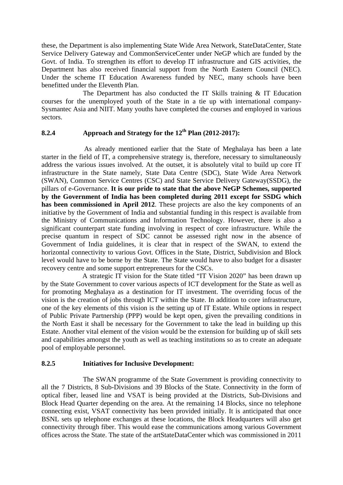these, the Department is also implementing State Wide Area Network, StateDataCenter, State Service Delivery Gateway and CommonServiceCenter under NeGP which are funded by the Govt. of India. To strengthen its effort to develop IT infrastructure and GIS activities, the Department has also received financial support from the North Eastern Council (NEC). Under the scheme IT Education Awareness funded by NEC, many schools have been benefitted under the Eleventh Plan.

 The Department has also conducted the IT Skills training & IT Education courses for the unemployed youth of the State in a tie up with international company-Sysmantec Asia and NIIT. Many youths have completed the courses and employed in various sectors.

## **8.2.4 Approach and Strategy for the 12th Plan (2012-2017):**

As already mentioned earlier that the State of Meghalaya has been a late starter in the field of IT, a comprehensive strategy is, therefore, necessary to simultaneously address the various issues involved. At the outset, it is absolutely vital to build up core IT infrastructure in the State namely, State Data Centre (SDC), State Wide Area Network (SWAN), Common Service Centres (CSC) and State Service Delivery Gateway(SSDG), the pillars of e-Governance. **It is our pride to state that the above NeGP Schemes, supported by the Government of India has been completed during 2011 except for SSDG which has been commissioned in April 2012**. These projects are also the key components of an initiative by the Government of India and substantial funding in this respect is available from the Ministry of Communications and Information Technology. However, there is also a significant counterpart state funding involving in respect of core infrastructure. While the precise quantum in respect of SDC cannot be assessed right now in the absence of Government of India guidelines, it is clear that in respect of the SWAN, to extend the horizontal connectivity to various Govt. Offices in the State, District, Subdivision and Block level would have to be borne by the State. The State would have to also budget for a disaster recovery centre and some support entrepreneurs for the CSCs.

A strategic IT vision for the State titled "IT Vision 2020" has been drawn up by the State Government to cover various aspects of ICT development for the State as well as for promoting Meghalaya as a destination for IT investment. The overriding focus of the vision is the creation of jobs through ICT within the State. In addition to core infrastructure, one of the key elements of this vision is the setting up of IT Estate. While options in respect of Public Private Partnership (PPP) would be kept open, given the prevailing conditions in the North East it shall be necessary for the Government to take the lead in building up this Estate. Another vital element of the vision would be the extension for building up of skill sets and capabilities amongst the youth as well as teaching institutions so as to create an adequate pool of employable personnel.

### **8.2.5 Initiatives for Inclusive Development:**

 The SWAN programme of the State Government is providing connectivity to all the 7 Districts, 8 Sub-Divisions and 39 Blocks of the State. Connectivity in the form of optical fiber, leased line and VSAT is being provided at the Districts, Sub-Divisions and Block Head Quarter depending on the area. At the remaining 14 Blocks, since no telephone connecting exist, VSAT connectivity has been provided initially. It is anticipated that once BSNL sets up telephone exchanges at these locations, the Block Headquarters will also get connectivity through fiber. This would ease the communications among various Government offices across the State. The state of the artStateDataCenter which was commissioned in 2011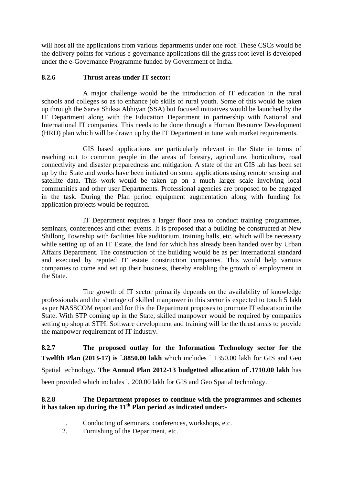will host all the applications from various departments under one roof. These CSCs would be the delivery points for various e-governance applications till the grass root level is developed under the e-Governance Programme funded by Government of India.

## **8.2.6 Thrust areas under IT sector:**

 A major challenge would be the introduction of IT education in the rural schools and colleges so as to enhance job skills of rural youth. Some of this would be taken up through the Sarva Shiksa Abhiyan (SSA) but focused initiatives would be launched by the IT Department along with the Education Department in partnership with National and International IT companies. This needs to be done through a Human Resource Development (HRD) plan which will be drawn up by the IT Department in tune with market requirements.

 GIS based applications are particularly relevant in the State in terms of reaching out to common people in the areas of forestry, agriculture, horticulture, road connectivity and disaster preparedness and mitigation. A state of the art GIS lab has been set up by the State and works have been initiated on some applications using remote sensing and satellite data. This work would be taken up on a much larger scale involving local communities and other user Departments. Professional agencies are proposed to be engaged in the task. During the Plan period equipment augmentation along with funding for application projects would be required.

 IT Department requires a larger floor area to conduct training programmes, seminars, conferences and other events. It is proposed that a building be constructed at New Shillong Township with facilities like auditorium, training halls, etc. which will be necessary while setting up of an IT Estate, the land for which has already been handed over by Urban Affairs Department. The construction of the building would be as per international standard and executed by reputed IT estate construction companies. This would help various companies to come and set up their business, thereby enabling the growth of employment in the State.

 The growth of IT sector primarily depends on the availability of knowledge professionals and the shortage of skilled manpower in this sector is expected to touch 5 lakh as per NASSCOM report and for this the Department proposes to promote IT education in the State. With STP coming up in the State, skilled manpower would be required by companies setting up shop at STPI. Software development and training will be the thrust areas to provide the manpower requirement of IT industry.

**8.2.7 The proposed outlay for the Information Technology sector for the Twelfth Plan (2013-17) is `.8850.00 lakh** which includes ` 1350.00 lakh for GIS and Geo Spatial technology**. The Annual Plan 2012-13 budgetted allocation of`.1710.00 lakh** has been provided which includes `. 200.00 lakh for GIS and Geo Spatial technology.

## **8.2.8 The Department proposes to continue with the programmes and schemes it has taken up during the 11th Plan period as indicated under:-**

- 1. Conducting of seminars, conferences, workshops, etc.
- 2. Furnishing of the Department, etc.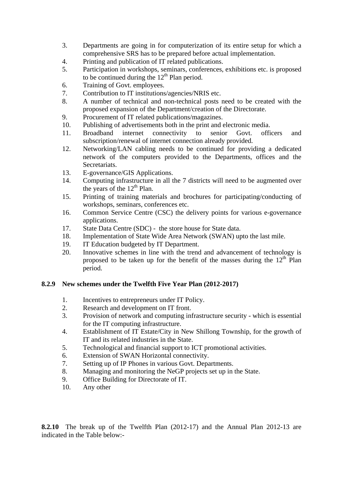- 3. Departments are going in for computerization of its entire setup for which a comprehensive SRS has to be prepared before actual implementation.
- 4. Printing and publication of IT related publications.
- 5. Participation in workshops, seminars, conferences, exhibitions etc. is proposed to be continued during the  $12<sup>th</sup>$  Plan period.
- 6. Training of Govt. employees.
- 7. Contribution to IT institutions/agencies/NRIS etc.
- 8. A number of technical and non-technical posts need to be created with the proposed expansion of the Department/creation of the Directorate.
- 9. Procurement of IT related publications/magazines.
- 10. Publishing of advertisements both in the print and electronic media.
- 11. Broadband internet connectivity to senior Govt. officers and subscription/renewal of internet connection already provided.
- 12. Networking/LAN cabling needs to be continued for providing a dedicated network of the computers provided to the Departments, offices and the Secretariats.
- 13. E-governance/GIS Applications.
- 14. Computing infrastructure in all the 7 districts will need to be augmented over the years of the  $12<sup>th</sup>$  Plan.
- 15. Printing of training materials and brochures for participating/conducting of workshops, seminars, conferences etc.
- 16. Common Service Centre (CSC) the delivery points for various e-governance applications.
- 17. State Data Centre (SDC) the store house for State data.
- 18. Implementation of State Wide Area Network (SWAN) upto the last mile.
- 19. IT Education budgeted by IT Department.
- 20. Innovative schemes in line with the trend and advancement of technology is proposed to be taken up for the benefit of the masses during the  $12<sup>th</sup>$  Plan period.

## **8.2.9 New schemes under the Twelfth Five Year Plan (2012-2017)**

- 1. Incentives to entrepreneurs under IT Policy.
- 2. Research and development on IT front.
- 3. Provision of network and computing infrastructure security which is essential for the IT computing infrastructure.
- 4. Establishment of IT Estate/City in New Shillong Township, for the growth of IT and its related industries in the State.
- 5. Technological and financial support to ICT promotional activities.
- 6. Extension of SWAN Horizontal connectivity.
- 7. Setting up of IP Phones in various Govt. Departments.
- 8. Managing and monitoring the NeGP projects set up in the State.
- 9. Office Building for Directorate of IT.
- 10. Any other

**8.2.10** The break up of the Twelfth Plan (2012-17) and the Annual Plan 2012-13 are indicated in the Table below:-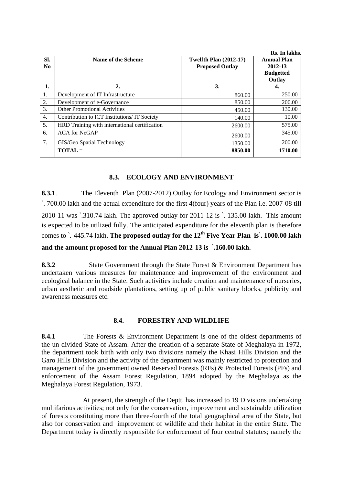|                  |                                               |                               | Rs. In lakhs.      |
|------------------|-----------------------------------------------|-------------------------------|--------------------|
| SI.              | Name of the Scheme                            | <b>Twelfth Plan (2012-17)</b> | <b>Annual Plan</b> |
| No               |                                               | <b>Proposed Outlay</b>        | 2012-13            |
|                  |                                               |                               | <b>Budgetted</b>   |
|                  |                                               |                               | Outlay             |
| 1.               | $\overline{2}$ .                              | 3.                            | 4.                 |
| 1.               | Development of IT Infrastructure              | 860.00                        | 250.00             |
| 2.               | Development of e-Governance                   | 850.00                        | 200.00             |
| 3.               | <b>Other Promotional Activities</b>           | 450.00                        | 130.00             |
| $\overline{4}$ . | Contribution to ICT Institutions/ IT Society  | 140.00                        | 10.00              |
| 5.               | HRD Training with international certification | 2600.00                       | 575.00             |
| 6.               | <b>ACA for NeGAP</b>                          | 2600.00                       | 345.00             |
| 7.               | GIS/Geo Spatial Technology                    | 1350.00                       | 200.00             |
|                  | $TOTAL =$                                     | 8850.00                       | 1710.00            |

## **8.3. ECOLOGY AND ENVIRONMENT**

**8.3.1**. The Eleventh Plan (2007-2012) Outlay for Ecology and Environment sector is `. 700.00 lakh and the actual expenditure for the first 4(four) years of the Plan i.e. 2007-08 till 2010-11 was `.310.74 lakh. The approved outlay for 2011-12 is `. 135.00 lakh. This amount is expected to be utilized fully. The anticipated expenditure for the eleventh plan is therefore comes to `. 445.74 lakh**. The proposed outlay for the 12th Five Year Plan is**`**. 1000.00 lakh and the amount proposed for the Annual Plan 2012-13 is** `**.160.00 lakh.** 

**8.3.2** State Government through the State Forest & Environment Department has undertaken various measures for maintenance and improvement of the environment and ecological balance in the State. Such activities include creation and maintenance of nurseries, urban aesthetic and roadside plantations, setting up of public sanitary blocks, publicity and awareness measures etc.

### **8.4. FORESTRY AND WILDLIFE**

**8.4.1** The Forests & Environment Department is one of the oldest departments of the un-divided State of Assam. After the creation of a separate State of Meghalaya in 1972, the department took birth with only two divisions namely the Khasi Hills Division and the Garo Hills Division and the activity of the department was mainly restricted to protection and management of the government owned Reserved Forests (RFs) & Protected Forests (PFs) and enforcement of the Assam Forest Regulation, 1894 adopted by the Meghalaya as the Meghalaya Forest Regulation, 1973.

 At present, the strength of the Deptt. has increased to 19 Divisions undertaking multifarious activities; not only for the conservation, improvement and sustainable utilization of forests constituting more than three-fourth of the total geographical area of the State, but also for conservation and improvement of wildlife and their habitat in the entire State. The Department today is directly responsible for enforcement of four central statutes; namely the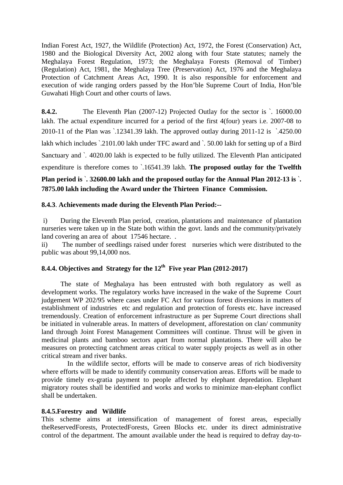Indian Forest Act, 1927, the Wildlife (Protection) Act, 1972, the Forest (Conservation) Act, 1980 and the Biological Diversity Act, 2002 along with four State statutes; namely the Meghalaya Forest Regulation, 1973; the Meghalaya Forests (Removal of Timber) (Regulation) Act, 1981, the Meghalaya Tree (Preservation) Act, 1976 and the Meghalaya Protection of Catchment Areas Act, 1990. It is also responsible for enforcement and execution of wide ranging orders passed by the Hon'ble Supreme Court of India, Hon'ble Guwahati High Court and other courts of laws.

**8.4.2.** The Eleventh Plan (2007-12) Projected Outlay for the sector is `. 16000.00 lakh. The actual expenditure incurred for a period of the first 4(four) years i.e. 2007-08 to 2010-11 of the Plan was `.12341.39 lakh. The approved outlay during 2011-12 is `.4250.00 lakh which includes `.2101.00 lakh under TFC award and `. 50.00 lakh for setting up of a Bird Sanctuary and `. 4020.00 lakh is expected to be fully utilized. The Eleventh Plan anticipated expenditure is therefore comes to `.16541.39 lakh. **The proposed outlay for the Twelfth** 

## **Plan period is** `**. 32600.00 lakh and the proposed outlay for the Annual Plan 2012-13 is** `**. 7875.00 lakh including the Award under the Thirteen Finance Commission.**

## **8.4.3**. **Achievements made during the Eleventh Plan Period:--**

 i) During the Eleventh Plan period, creation, plantations and maintenance of plantation nurseries were taken up in the State both within the govt. lands and the community/privately land covering an area of about 17546 hectare. .

ii) The number of seedlings raised under forest nurseries which were distributed to the public was about 99,14,000 nos.

## **8.4.4. Objectives and Strategy for the 12th Five year Plan (2012-2017)**

 The state of Meghalaya has been entrusted with both regulatory as well as development works. The regulatory works have increased in the wake of the Supreme Court judgement WP 202/95 where cases under FC Act for various forest diversions in matters of establishment of industries etc and regulation and protection of forests etc. have increased tremendously. Creation of enforcement infrastructure as per Supreme Court directions shall be initiated in vulnerable areas. In matters of development, afforestation on clan/ community land through Joint Forest Management Committees will continue. Thrust will be given in medicinal plants and bamboo sectors apart from normal plantations. There will also be measures on protecting catchment areas critical to water supply projects as well as in other critical stream and river banks.

 In the wildlife sector, efforts will be made to conserve areas of rich biodiversity where efforts will be made to identify community conservation areas. Efforts will be made to provide timely ex-gratia payment to people affected by elephant depredation. Elephant migratory routes shall be identified and works and works to minimize man-elephant conflict shall be undertaken.

### **8.4.5.Forestry and Wildlife**

This scheme aims at intensification of management of forest areas, especially theReservedForests, ProtectedForests, Green Blocks etc. under its direct administrative control of the department. The amount available under the head is required to defray day-to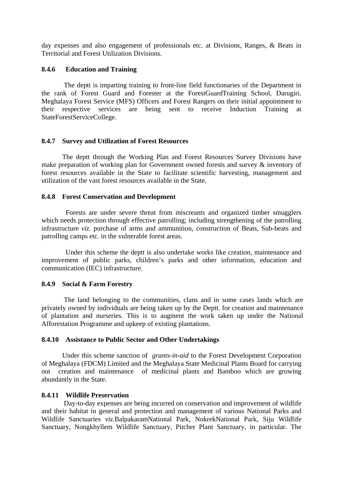day expenses and also engagement of professionals etc. at Divisions, Ranges, & Beats in Territorial and Forest Utilization Divisions.

### **8.4.6 Education and Training**

 The deptt is imparting training to front-line field functionaries of the Department in the rank of Forest Guard and Forester at the ForestGuardTraining School, Darugiri. Meghalaya Forest Service (MFS) Officers and Forest Rangers on their initial appointment to their respective services are being sent to receive Induction Training at StateForestServiceCollege.

#### **8.4.7 Survey and Utilization of Forest Resources**

 The deptt through the Working Plan and Forest Resources Survey Divisions have make preparation of working plan for Government owned forests and survey & inventory of forest resources available in the State to facilitate scientific harvesting, management and utilization of the vast forest resources available in the State.

#### **8.4.8 Forest Conservation and Development**

 Forests are under severe threat from miscreants and organized timber smugglers which needs protection through effective patrolling; including strengthening of the patrolling infrastructure *viz.* purchase of arms and ammunition, construction of Beats, Sub-beats and patrolling camps etc. in the vulnerable forest areas.

 Under this scheme the deptt is also undertake works like creation, maintenance and improvement of public parks, children's parks and other information, education and communication (IEC) infrastructure.

### **8.4.9 Social & Farm Forestry**

 The land belonging to the communities, clans and in some cases lands which are privately owned by individuals are being taken up by the Deptt. for creation and maintenance of plantation and nurseries. This is to augment the work taken up under the National Afforestation Programme and upkeep of existing plantations.

### **8.4.10 Assistance to Public Sector and Other Undertakings**

Under this scheme sanction of *grants-in-aid* to the Forest Development Corporation of Meghalaya (FDCM) Limited and the Meghalaya State Medicinal Plants Board for carrying out creation and maintenance of medicinal plants and Bamboo which are growing abundantly in the State.

### **8.4.11 Wildlife Preservation**

 Day-to-day expenses are being incurred on conservation and improvement of wildlife and their habitat in general and protection and management of various National Parks and Wildlife Sanctuaries *viz.*BalpakaramNational Park, NokrekNational Park, Siju Wildlife Sanctuary, Nongkhyllem Wildlife Sanctuary, Pitcher Plant Sanctuary, in particular. The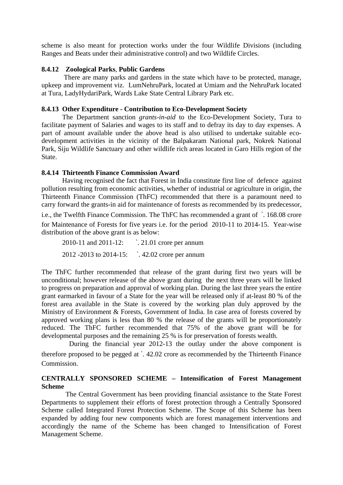scheme is also meant for protection works under the four Wildlife Divisions (including Ranges and Beats under their administrative control) and two Wildlife Circles.

### **8.4.12 Zoological Parks**, **Public Gardens**

 There are many parks and gardens in the state which have to be protected, manage, upkeep and improvement viz. LumNehruPark, located at Umiam and the NehruPark located at Tura, LadyHydariPark, Wards Lake State Central Library Park etc.

#### **8.4.13 Other Expenditure - Contribution to Eco-Development Society**

The Department sanction *grants-in-aid* to the Eco-Development Society, Tura to facilitate payment of Salaries and wages to its staff and to defray its day to day expenses. A part of amount available under the above head is also utilised to undertake suitable ecodevelopment activities in the vicinity of the Balpakaram National park, Nokrek National Park, Siju Wildlife Sanctuary and other wildlife rich areas located in Garo Hills region of the State.

#### **8.4.14 Thirteenth Finance Commission Award**

Having recognised the fact that Forest in India constitute first line of defence against pollution resulting from economic activities, whether of industrial or agriculture in origin, the Thirteenth Finance Commission (ThFC) recommended that there is a paramount need to carry forward the grants-in aid for maintenance of forests as recommended by its predecessor,

i.e., the Twelfth Finance Commission. The ThFC has recommended a grant of `. 168.08 crore for Maintenance of Forests for five years i.e. for the period 2010-11 to 2014-15. Year-wise distribution of the above grant is as below:

2010-11 and 2011-12: `. 21.01 crore per annum 2012 -2013 to 2014-15: `. 42.02 crore per annum

The ThFC further recommended that release of the grant during first two years will be unconditional; however release of the above grant during the next three years will be linked to progress on preparation and approval of working plan. During the last three years the entire grant earmarked in favour of a State for the year will be released only if at-least 80 % of the forest area available in the State is covered by the working plan duly approved by the Ministry of Environment & Forests, Government of India. In case area of forests covered by approved working plans is less than 80 % the release of the grants will be proportionately reduced. The ThFC further recommended that 75% of the above grant will be for developmental purposes and the remaining 25 % is for preservation of forests wealth.

 During the financial year 2012-13 the outlay under the above component is therefore proposed to be pegged at `. 42.02 crore as recommended by the Thirteenth Finance Commission.

### **CENTRALLY SPONSORED SCHEME – Intensification of Forest Management Scheme**

 The Central Government has been providing financial assistance to the State Forest Departments to supplement their efforts of forest protection through a Centrally Sponsored Scheme called Integrated Forest Protection Scheme. The Scope of this Scheme has been expanded by adding four new components which are forest management interventions and accordingly the name of the Scheme has been changed to Intensification of Forest Management Scheme.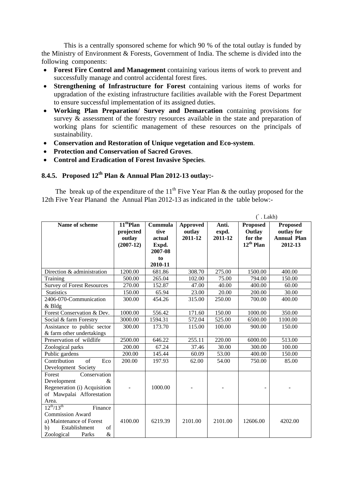This is a centrally sponsored scheme for which 90 % of the total outlay is funded by the Ministry of Environment & Forests, Government of India. The scheme is divided into the following components:

- **Forest Fire Control and Management** containing various items of work to prevent and successfully manage and control accidental forest fires.
- **Strengthening of Infrastructure for Forest** containing various items of works for upgradation of the existing infrastructure facilities available with the Forest Department to ensure successful implementation of its assigned duties.
- **Working Plan Preparation/ Survey and Demarcation** containing provisions for survey & assessment of the forestry resources available in the state and preparation of working plans for scientific management of these resources on the principals of sustainability.
- **Conservation and Restoration of Unique vegetation and Eco-system**.
- **Protection and Conservation of Sacred Groves**.
- **Control and Eradication of Forest Invasive Species**.

# **8.4.5. Proposed 12th Plan & Annual Plan 2012-13 outlay:-**

The break up of the expenditure of the  $11<sup>th</sup>$  Five Year Plan & the outlay proposed for the 12th Five Year Planand the Annual Plan 2012-13 as indicated in the table below:-

|                                                                                                                                              |                                                      |                                                                |                                      |                           | $(\hat{C}$ . Lakh $)$                                  |                                                                |  |
|----------------------------------------------------------------------------------------------------------------------------------------------|------------------------------------------------------|----------------------------------------------------------------|--------------------------------------|---------------------------|--------------------------------------------------------|----------------------------------------------------------------|--|
| Name of scheme                                                                                                                               | $11^{th}$ Plan<br>projected<br>outlay<br>$(2007-12)$ | Cummula<br>tive<br>actual<br>Expd.<br>2007-08<br>to<br>2010-11 | <b>Approved</b><br>outlay<br>2011-12 | Anti.<br>expd.<br>2011-12 | <b>Proposed</b><br>Outlay<br>for the<br>$12^{th}$ Plan | <b>Proposed</b><br>outlay for<br><b>Annual Plan</b><br>2012-13 |  |
| Direction & administration                                                                                                                   | 1200.00                                              | 681.86                                                         | 308.70                               | 275.00                    | 1500.00                                                | 400.00                                                         |  |
| Training                                                                                                                                     | 500.00                                               | 265.04                                                         | 102.00                               | 75.00                     | 794.00                                                 | 150.00                                                         |  |
| <b>Survey of Forest Resources</b>                                                                                                            | 270.00                                               | 152.87                                                         | 47.00                                | 40.00                     | 400.00                                                 | 60.00                                                          |  |
| <b>Statistics</b>                                                                                                                            | 150.00                                               | 65.94                                                          | 23.00                                | 20.00                     | 200.00                                                 | 30.00                                                          |  |
| 2406-070-Communication<br>$&$ Bldg                                                                                                           | 300.00                                               | 454.26                                                         | 315.00                               | 250.00                    | 700.00                                                 | 400.00                                                         |  |
| Forest Conservation & Dev.                                                                                                                   | 1000.00                                              | 556.42                                                         | 171.60                               | 150.00                    | 1000.00                                                | 350.00                                                         |  |
| Social & farm Forestry                                                                                                                       | 3000.00                                              | 1594.31                                                        | 572.04                               | 525.00                    | 6500.00                                                | 1100.00                                                        |  |
| Assistance to public sector<br>& farm other undertakings                                                                                     | 300.00                                               | 173.70                                                         | 115.00                               | 100.00                    | 900.00                                                 | 150.00                                                         |  |
| Preservation of wildlife                                                                                                                     | 2500.00                                              | 646.22                                                         | 255.11                               | 220.00                    | 6000.00                                                | 513.00                                                         |  |
| Zoological parks                                                                                                                             | 200.00                                               | 67.24                                                          | 37.46                                | 30.00                     | 300.00                                                 | 100.00                                                         |  |
| Public gardens                                                                                                                               | 200.00                                               | 145.44                                                         | 60.09                                | 53.00                     | 400.00                                                 | 150.00                                                         |  |
| of<br>Contribution<br>Eco<br>Development Society                                                                                             | 200.00                                               | 197.93                                                         | 62.00                                | 54.00                     | 750.00                                                 | 85.00                                                          |  |
| Conservation<br>Forest<br>Development<br>$\&$<br>Regeneration (i) Acquisition<br>of Mawpalai Afforestation<br>Area.                          |                                                      | 1000.00                                                        |                                      |                           |                                                        |                                                                |  |
| $12^{th}/13^{th}$<br>Finance<br><b>Commission Award</b><br>a) Maintenance of Forest<br>Establishment<br>b)<br>of<br>Zoological<br>Parks<br>& | 4100.00                                              | 6219.39                                                        | 2101.00                              | 2101.00                   | 12606.00                                               | 4202.00                                                        |  |